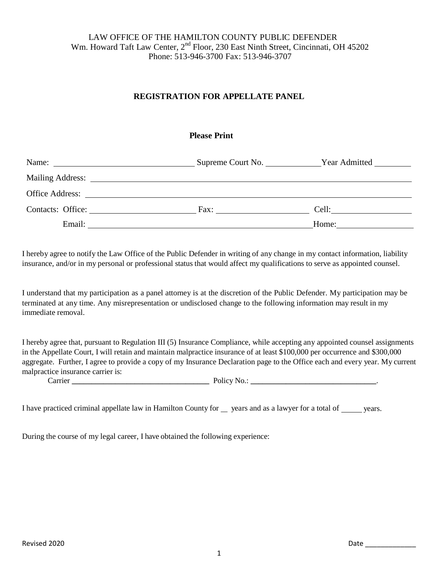# LAW OFFICE OF THE HAMILTON COUNTY PUBLIC DEFENDER Wm. Howard Taft Law Center, 2<sup>nd</sup> Floor, 230 East Ninth Street, Cincinnati, OH 45202 Phone: 513-946-3700 Fax: 513-946-3707

# **REGISTRATION FOR APPELLATE PANEL**

### **Please Print**

|                   |                 | Supreme Court No. _________________Year Admitted ________________________________ |  |
|-------------------|-----------------|-----------------------------------------------------------------------------------|--|
|                   |                 |                                                                                   |  |
|                   | Office Address: |                                                                                   |  |
| Contacts: Office: |                 | Cell:                                                                             |  |
| Email:            |                 | Home:                                                                             |  |

I hereby agree to notify the Law Office of the Public Defender in writing of any change in my contact information, liability insurance, and/or in my personal or professional status that would affect my qualifications to serve as appointed counsel.

I understand that my participation as a panel attorney is at the discretion of the Public Defender. My participation may be terminated at any time. Any misrepresentation or undisclosed change to the following information may result in my immediate removal.

I hereby agree that, pursuant to Regulation III (5) Insurance Compliance, while accepting any appointed counsel assignments in the Appellate Court, I will retain and maintain malpractice insurance of at least \$100,000 per occurrence and \$300,000 aggregate. Further, I agree to provide a copy of my Insurance Declaration page to the Office each and every year. My current malpractice insurance carrier is: Carrier **\_\_\_\_\_\_\_\_\_\_\_\_\_\_\_\_\_\_\_\_\_\_\_\_\_\_\_\_\_\_\_\_\_\_\_** Policy No.: **\_\_\_\_\_\_\_\_\_\_\_\_\_\_\_\_\_\_\_\_\_\_\_\_\_\_\_\_\_\_\_\_**.

I have practiced criminal appellate law in Hamilton County for years and as a lawyer for a total of years.

During the course of my legal career, I have obtained the following experience: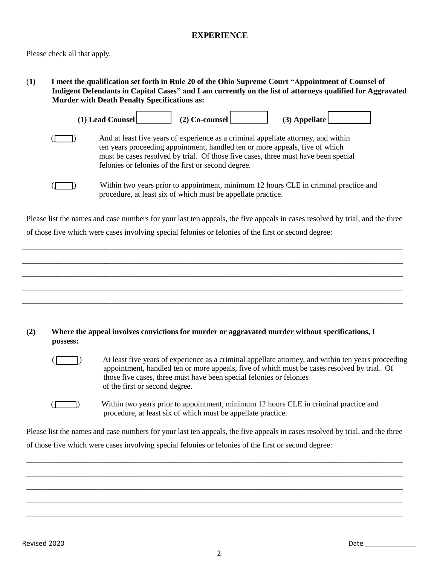# **EXPERIENCE**

Please check all that apply.

(**1) I meet the qualification set forth in Rule 20 of the Ohio Supreme Court "Appointment of Counsel of Indigent Defendants in Capital Cases" and I am currently on the list of attorneys qualified for Aggravated Murder with Death Penalty Specifications as:**



Please list the names and case numbers for your last ten appeals, the five appeals in cases resolved by trial, and the three of those five which were cases involving special felonies or felonies of the first or second degree:

\_\_\_\_\_\_\_\_\_\_\_\_\_\_\_\_\_\_\_\_\_\_\_\_\_\_\_\_\_\_\_\_\_\_\_\_\_\_\_\_\_\_\_\_\_\_\_\_\_\_\_\_\_\_\_\_\_\_\_\_\_\_\_\_\_\_\_\_\_\_\_\_\_\_\_\_\_\_\_\_\_\_\_\_\_\_\_\_\_\_\_\_\_\_\_\_\_

\_\_\_\_\_\_\_\_\_\_\_\_\_\_\_\_\_\_\_\_\_\_\_\_\_\_\_\_\_\_\_\_\_\_\_\_\_\_\_\_\_\_\_\_\_\_\_\_\_\_\_\_\_\_\_\_\_\_\_\_\_\_\_\_\_\_\_\_\_\_\_\_\_\_\_\_\_\_\_\_\_\_\_\_\_\_\_\_\_\_\_\_\_\_\_\_\_ \_\_\_\_\_\_\_\_\_\_\_\_\_\_\_\_\_\_\_\_\_\_\_\_\_\_\_\_\_\_\_\_\_\_\_\_\_\_\_\_\_\_\_\_\_\_\_\_\_\_\_\_\_\_\_\_\_\_\_\_\_\_\_\_\_\_\_\_\_\_\_\_\_\_\_\_\_\_\_\_\_\_\_\_\_\_\_\_\_\_\_\_\_\_\_\_\_ \_\_\_\_\_\_\_\_\_\_\_\_\_\_\_\_\_\_\_\_\_\_\_\_\_\_\_\_\_\_\_\_\_\_\_\_\_\_\_\_\_\_\_\_\_\_\_\_\_\_\_\_\_\_\_\_\_\_\_\_\_\_\_\_\_\_\_\_\_\_\_\_\_\_\_\_\_\_\_\_\_\_\_\_\_\_\_\_\_\_\_\_\_\_\_\_\_ \_\_\_\_\_\_\_\_\_\_\_\_\_\_\_\_\_\_\_\_\_\_\_\_\_\_\_\_\_\_\_\_\_\_\_\_\_\_\_\_\_\_\_\_\_\_\_\_\_\_\_\_\_\_\_\_\_\_\_\_\_\_\_\_\_\_\_\_\_\_\_\_\_\_\_\_\_\_\_\_\_\_\_\_\_\_\_\_\_\_\_\_\_\_\_\_\_

#### **(2) Where the appeal involves convictions for murder or aggravated murder without specifications, I possess:**

(1) At least five years of experience as a criminal appellate attorney, and within ten years proceeding appointment, handled ten or more appeals, five of which must be cases resolved by trial. Of those five cases, three must have been special felonies or felonies of the first or second degree.

(<sup>1</sup>) Within two years prior to appointment, minimum 12 hours CLE in criminal practice and procedure, at least six of which must be appellate practice.

Please list the names and case numbers for your last ten appeals, the five appeals in cases resolved by trial, and the three of those five which were cases involving special felonies or felonies of the first or second degree:

\_\_\_\_\_\_\_\_\_\_\_\_\_\_\_\_\_\_\_\_\_\_\_\_\_\_\_\_\_\_\_\_\_\_\_\_\_\_\_\_\_\_\_\_\_\_\_\_\_\_\_\_\_\_\_\_\_\_\_\_\_\_\_\_\_\_\_\_\_\_\_\_\_\_\_\_\_\_\_\_\_\_\_\_\_\_\_\_\_\_\_\_\_\_\_\_ \_\_\_\_\_\_\_\_\_\_\_\_\_\_\_\_\_\_\_\_\_\_\_\_\_\_\_\_\_\_\_\_\_\_\_\_\_\_\_\_\_\_\_\_\_\_\_\_\_\_\_\_\_\_\_\_\_\_\_\_\_\_\_\_\_\_\_\_\_\_\_\_\_\_\_\_\_\_\_\_\_\_\_\_\_\_\_\_\_\_\_\_\_\_\_\_ \_\_\_\_\_\_\_\_\_\_\_\_\_\_\_\_\_\_\_\_\_\_\_\_\_\_\_\_\_\_\_\_\_\_\_\_\_\_\_\_\_\_\_\_\_\_\_\_\_\_\_\_\_\_\_\_\_\_\_\_\_\_\_\_\_\_\_\_\_\_\_\_\_\_\_\_\_\_\_\_\_\_\_\_\_\_\_\_\_\_\_\_\_\_\_\_ \_\_\_\_\_\_\_\_\_\_\_\_\_\_\_\_\_\_\_\_\_\_\_\_\_\_\_\_\_\_\_\_\_\_\_\_\_\_\_\_\_\_\_\_\_\_\_\_\_\_\_\_\_\_\_\_\_\_\_\_\_\_\_\_\_\_\_\_\_\_\_\_\_\_\_\_\_\_\_\_\_\_\_\_\_\_\_\_\_\_\_\_\_\_\_\_ \_\_\_\_\_\_\_\_\_\_\_\_\_\_\_\_\_\_\_\_\_\_\_\_\_\_\_\_\_\_\_\_\_\_\_\_\_\_\_\_\_\_\_\_\_\_\_\_\_\_\_\_\_\_\_\_\_\_\_\_\_\_\_\_\_\_\_\_\_\_\_\_\_\_\_\_\_\_\_\_\_\_\_\_\_\_\_\_\_\_\_\_\_\_\_\_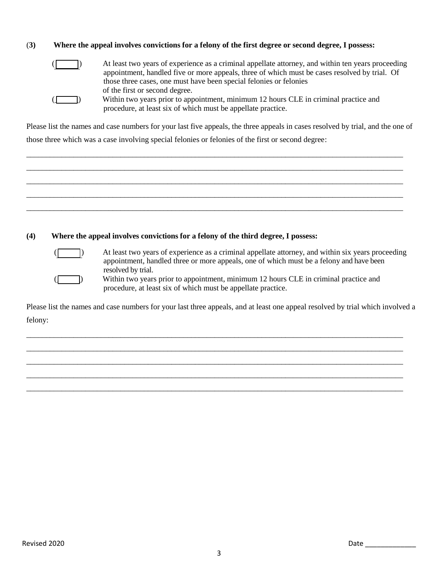### (**3) Where the appeal involves convictions for a felony of the first degree or second degree, I possess:**



(a) At least two years of experience as a criminal appellate attorney, and within ten years proceeding appointment, handled five or more appeals, three of which must be cases resolved by trial. Of those three cases, one must have been special felonies or felonies of the first or second degree. (\_\_\_\_\_\_) Within two years prior to appointment, minimum 12 hours CLE in criminal practice and procedure, at least six of which must be appellate practice.

Please list the names and case numbers for your last five appeals, the three appeals in cases resolved by trial, and the one of

those three which was a case involving special felonies or felonies of the first or second degree:

\_\_\_\_\_\_\_\_\_\_\_\_\_\_\_\_\_\_\_\_\_\_\_\_\_\_\_\_\_\_\_\_\_\_\_\_\_\_\_\_\_\_\_\_\_\_\_\_\_\_\_\_\_\_\_\_\_\_\_\_\_\_\_\_\_\_\_\_\_\_\_\_\_\_\_\_\_\_\_\_\_\_\_\_\_\_\_\_\_\_\_\_\_\_\_\_ \_\_\_\_\_\_\_\_\_\_\_\_\_\_\_\_\_\_\_\_\_\_\_\_\_\_\_\_\_\_\_\_\_\_\_\_\_\_\_\_\_\_\_\_\_\_\_\_\_\_\_\_\_\_\_\_\_\_\_\_\_\_\_\_\_\_\_\_\_\_\_\_\_\_\_\_\_\_\_\_\_\_\_\_\_\_\_\_\_\_\_\_\_\_\_\_ \_\_\_\_\_\_\_\_\_\_\_\_\_\_\_\_\_\_\_\_\_\_\_\_\_\_\_\_\_\_\_\_\_\_\_\_\_\_\_\_\_\_\_\_\_\_\_\_\_\_\_\_\_\_\_\_\_\_\_\_\_\_\_\_\_\_\_\_\_\_\_\_\_\_\_\_\_\_\_\_\_\_\_\_\_\_\_\_\_\_\_\_\_\_\_\_ \_\_\_\_\_\_\_\_\_\_\_\_\_\_\_\_\_\_\_\_\_\_\_\_\_\_\_\_\_\_\_\_\_\_\_\_\_\_\_\_\_\_\_\_\_\_\_\_\_\_\_\_\_\_\_\_\_\_\_\_\_\_\_\_\_\_\_\_\_\_\_\_\_\_\_\_\_\_\_\_\_\_\_\_\_\_\_\_\_\_\_\_\_\_\_\_

\_\_\_\_\_\_\_\_\_\_\_\_\_\_\_\_\_\_\_\_\_\_\_\_\_\_\_\_\_\_\_\_\_\_\_\_\_\_\_\_\_\_\_\_\_\_\_\_\_\_\_\_\_\_\_\_\_\_\_\_\_\_\_\_\_\_\_\_\_\_\_\_\_\_\_\_\_\_\_\_\_\_\_\_\_\_\_\_\_\_\_\_\_\_\_\_

### **(4) Where the appeal involves convictions for a felony of the third degree, I possess:**



At least two years of experience as a criminal appellate attorney, and within six years proceeding appointment, handled three or more appeals, one of which must be a felony and have been resolved by trial.

Within two years prior to appointment, minimum 12 hours CLE in criminal practice and procedure, at least six of which must be appellate practice.

Please list the names and case numbers for your last three appeals, and at least one appeal resolved by trial which involved a felony:

\_\_\_\_\_\_\_\_\_\_\_\_\_\_\_\_\_\_\_\_\_\_\_\_\_\_\_\_\_\_\_\_\_\_\_\_\_\_\_\_\_\_\_\_\_\_\_\_\_\_\_\_\_\_\_\_\_\_\_\_\_\_\_\_\_\_\_\_\_\_\_\_\_\_\_\_\_\_\_\_\_\_\_\_\_\_\_\_\_\_\_\_\_\_\_\_ \_\_\_\_\_\_\_\_\_\_\_\_\_\_\_\_\_\_\_\_\_\_\_\_\_\_\_\_\_\_\_\_\_\_\_\_\_\_\_\_\_\_\_\_\_\_\_\_\_\_\_\_\_\_\_\_\_\_\_\_\_\_\_\_\_\_\_\_\_\_\_\_\_\_\_\_\_\_\_\_\_\_\_\_\_\_\_\_\_\_\_\_\_\_\_\_ \_\_\_\_\_\_\_\_\_\_\_\_\_\_\_\_\_\_\_\_\_\_\_\_\_\_\_\_\_\_\_\_\_\_\_\_\_\_\_\_\_\_\_\_\_\_\_\_\_\_\_\_\_\_\_\_\_\_\_\_\_\_\_\_\_\_\_\_\_\_\_\_\_\_\_\_\_\_\_\_\_\_\_\_\_\_\_\_\_\_\_\_\_\_\_\_ \_\_\_\_\_\_\_\_\_\_\_\_\_\_\_\_\_\_\_\_\_\_\_\_\_\_\_\_\_\_\_\_\_\_\_\_\_\_\_\_\_\_\_\_\_\_\_\_\_\_\_\_\_\_\_\_\_\_\_\_\_\_\_\_\_\_\_\_\_\_\_\_\_\_\_\_\_\_\_\_\_\_\_\_\_\_\_\_\_\_\_\_\_\_\_\_ \_\_\_\_\_\_\_\_\_\_\_\_\_\_\_\_\_\_\_\_\_\_\_\_\_\_\_\_\_\_\_\_\_\_\_\_\_\_\_\_\_\_\_\_\_\_\_\_\_\_\_\_\_\_\_\_\_\_\_\_\_\_\_\_\_\_\_\_\_\_\_\_\_\_\_\_\_\_\_\_\_\_\_\_\_\_\_\_\_\_\_\_\_\_\_\_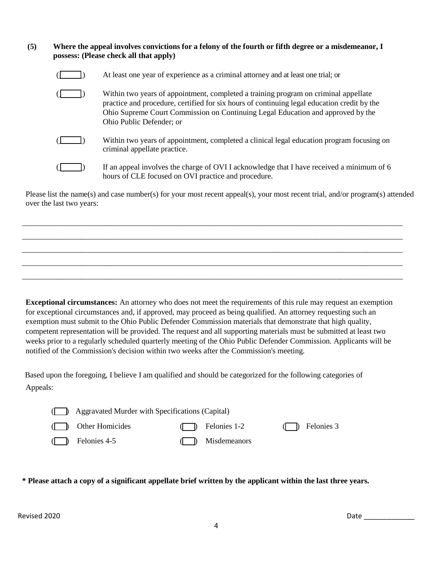#### **(5) Where the appeal involves convictions for a felony of the fourth or fifth degree or a misdemeanor, I possess: (Please check all that apply)**

| At least one year of experience as a criminal attorney and at least one trial; or                                                                                                                                                                                                                 |
|---------------------------------------------------------------------------------------------------------------------------------------------------------------------------------------------------------------------------------------------------------------------------------------------------|
| Within two years of appointment, completed a training program on criminal appellate<br>practice and procedure, certified for six hours of continuing legal education credit by the<br>Ohio Supreme Court Commission on Continuing Legal Education and approved by the<br>Ohio Public Defender; or |
| Within two years of appointment, completed a clinical legal education program focusing on<br>criminal appellate practice.                                                                                                                                                                         |
| If an appeal involves the charge of OVI I acknowledge that I have received a minimum of 6<br>hours of CLE focused on OVI practice and procedure.                                                                                                                                                  |

Please list the name(s) and case number(s) for your most recent appeal(s), your most recent trial, and/or program(s) attended over the last two years:

\_\_\_\_\_\_\_\_\_\_\_\_\_\_\_\_\_\_\_\_\_\_\_\_\_\_\_\_\_\_\_\_\_\_\_\_\_\_\_\_\_\_\_\_\_\_\_\_\_\_\_\_\_\_\_\_\_\_\_\_\_\_\_\_\_\_\_\_\_\_\_\_\_\_\_\_\_\_\_\_\_\_\_\_\_\_\_\_\_\_\_\_\_\_\_\_\_ \_\_\_\_\_\_\_\_\_\_\_\_\_\_\_\_\_\_\_\_\_\_\_\_\_\_\_\_\_\_\_\_\_\_\_\_\_\_\_\_\_\_\_\_\_\_\_\_\_\_\_\_\_\_\_\_\_\_\_\_\_\_\_\_\_\_\_\_\_\_\_\_\_\_\_\_\_\_\_\_\_\_\_\_\_\_\_\_\_\_\_\_\_\_\_\_\_ \_\_\_\_\_\_\_\_\_\_\_\_\_\_\_\_\_\_\_\_\_\_\_\_\_\_\_\_\_\_\_\_\_\_\_\_\_\_\_\_\_\_\_\_\_\_\_\_\_\_\_\_\_\_\_\_\_\_\_\_\_\_\_\_\_\_\_\_\_\_\_\_\_\_\_\_\_\_\_\_\_\_\_\_\_\_\_\_\_\_\_\_\_\_\_\_\_ \_\_\_\_\_\_\_\_\_\_\_\_\_\_\_\_\_\_\_\_\_\_\_\_\_\_\_\_\_\_\_\_\_\_\_\_\_\_\_\_\_\_\_\_\_\_\_\_\_\_\_\_\_\_\_\_\_\_\_\_\_\_\_\_\_\_\_\_\_\_\_\_\_\_\_\_\_\_\_\_\_\_\_\_\_\_\_\_\_\_\_\_\_\_\_\_\_ \_\_\_\_\_\_\_\_\_\_\_\_\_\_\_\_\_\_\_\_\_\_\_\_\_\_\_\_\_\_\_\_\_\_\_\_\_\_\_\_\_\_\_\_\_\_\_\_\_\_\_\_\_\_\_\_\_\_\_\_\_\_\_\_\_\_\_\_\_\_\_\_\_\_\_\_\_\_\_\_\_\_\_\_\_\_\_\_\_\_\_\_\_\_\_\_\_

**Exceptional circumstances:** An attorney who does not meet the requirements of this rule may request an exemption for exceptional circumstances and, if approved, may proceed as being qualified. An attorney requesting such an exemption must submit to the Ohio Public Defender Commission materials that demonstrate that high quality, competent representation will be provided. The request and all supporting materials must be submitted at least two weeks prior to a regularly scheduled quarterly meeting of the Ohio Public Defender Commission. Applicants will be notified of the Commission's decision within two weeks after the Commission's meeting.

 Based upon the foregoing, I believe I am qualified and should be categorized for the following categories of Appeals:

| ( Aggravated Murder with Specifications (Capital) |  |                     |  |                                                         |
|---------------------------------------------------|--|---------------------|--|---------------------------------------------------------|
| ( Cher Homicides                                  |  | $\Box$ Felonies 1-2 |  | $\left(\begin{array}{cc} \end{array}\right)$ Felonies 3 |
| $($ $)$ Felonies 4-5                              |  | ( ) Misdemeanors    |  |                                                         |

\* Please attach a copy of a significant appellate brief written by the applicant within the last three years.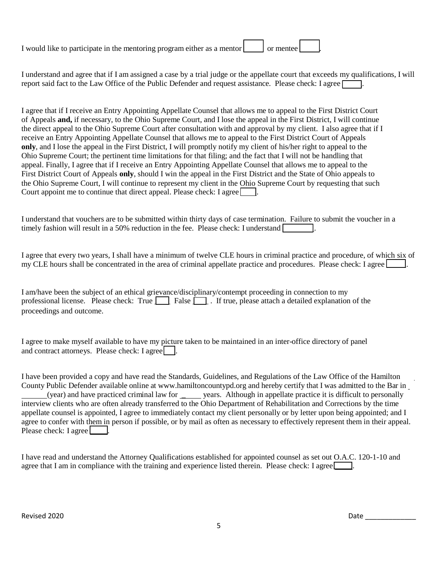| I would like to participate in the mentoring program either as a mentor | or mentee |  |
|-------------------------------------------------------------------------|-----------|--|
|                                                                         |           |  |

I understand and agree that if I am assigned a case by a trial judge or the appellate court that exceeds my qualifications, I will report said fact to the Law Office of the Public Defender and request assistance. Please check: I agree  $\Box$ 

I agree that if I receive an Entry Appointing Appellate Counsel that allows me to appeal to the First District Court of Appeals **and,** if necessary, to the Ohio Supreme Court, and I lose the appeal in the First District, I will continue the direct appeal to the Ohio Supreme Court after consultation with and approval by my client. I also agree that if I receive an Entry Appointing Appellate Counsel that allows me to appeal to the First District Court of Appeals **only**, and I lose the appeal in the First District, I will promptly notify my client of his/her right to appeal to the Ohio Supreme Court; the pertinent time limitations for that filing; and the fact that I will not be handling that appeal. Finally, I agree that if I receive an Entry Appointing Appellate Counsel that allows me to appeal to the First District Court of Appeals **only**, should I win the appeal in the First District and the State of Ohio appeals to the Ohio Supreme Court, I will continue to represent my client in the Ohio Supreme Court by requesting that such Court appoint me to continue that direct appeal. Please check: I agree

I understand that vouchers are to be submitted within thirty days of case termination. Failure to submit the voucher in a timely fashion will result in a 50% reduction in the fee. Please check: I understand  $\Box$ .

I agree that every two years, I shall have a minimum of twelve CLE hours in criminal practice and procedure, of which six of my CLE hours shall be concentrated in the area of criminal appellate practice and procedures. Please check: I agree

I am/have been the subject of an ethical grievance/disciplinary/contempt proceeding in connection to my professional license. Please check: True  $\Box$  False  $\Box$ . If true, please attach a detailed explanation of the proceedings and outcome.

I agree to make myself available to have my picture taken to be maintained in an inter-office directory of panel and contract attorneys. Please check:  $I$  agree  $\Box$ .

I have been provided a copy and have read the Standards, Guidelines, and Regulations of the Law Office of the Hamilton County Public Defender available online at [www.hamiltoncountypd.org](http://www.hamiltoncountypd.org/) and hereby certify that I was admitted to the Bar in (year) and have practiced criminal law for \_\_\_\_\_ years. Although in appellate practice it is difficult to personally interview clients who are often already transferred to the Ohio Department of Rehabilitation and Corrections by the time appellate counsel is appointed, I agree to immediately contact my client personally or by letter upon being appointed; and I agree to confer with them in person if possible, or by mail as often as necessary to effectively represent them in their appeal. Please check: I agree

I have read and understand the Attorney Qualifications established for appointed counsel as set out O.A.C. 120-1-10 and agree that I am in compliance with the training and experience listed therein. Please check: I agree